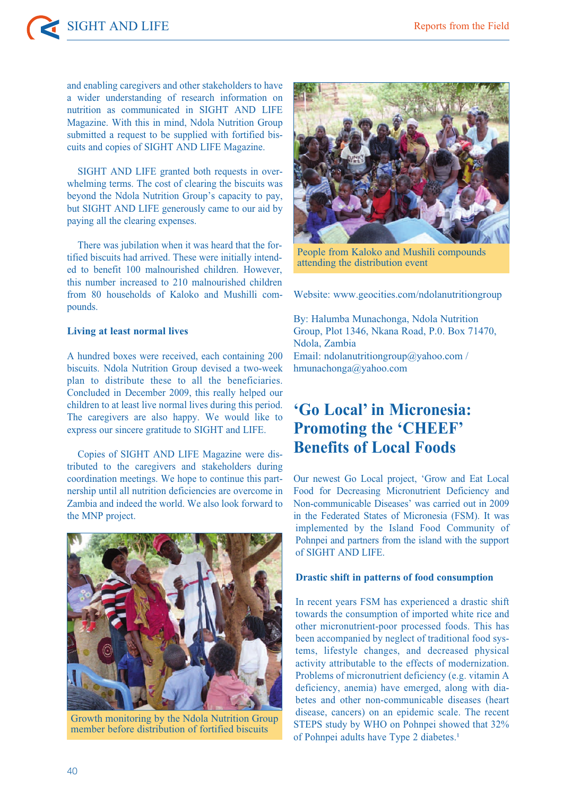and enabling caregivers and other stakeholders to have a wider understanding of research information on nutrition as communicated in SIGHT AND LIFE Magazine. With this in mind, Ndola Nutrition Group submitted a request to be supplied with fortified biscuits and copies of SIGHT AND LIFE Magazine.

SIGHT AND LIFE granted both requests in overwhelming terms. The cost of clearing the biscuits was beyond the Ndola Nutrition Group's capacity to pay, but SIGHT AND LIFE generously came to our aid by paying all the clearing expenses.

There was jubilation when it was heard that the fortified biscuits had arrived. These were initially intended to benefit 100 malnourished children. However, this number increased to 210 malnourished children from 80 households of Kaloko and Mushilli compounds.

### **Living at least normal lives**

A hundred boxes were received, each containing 200 biscuits. Ndola Nutrition Group devised a two-week plan to distribute these to all the beneficiaries. Concluded in December 2009, this really helped our children to at least live normal lives during this period. The caregivers are also happy. We would like to express our sincere gratitude to SIGHT and LIFE.

Copies of SIGHT AND LIFE Magazine were distributed to the caregivers and stakeholders during coordination meetings. We hope to continue this partnership until all nutrition deficiencies are overcome in Zambia and indeed the world. We also look forward to the MNP project.



Growth monitoring by the Ndola Nutrition Group member before distribution of fortified biscuits



People from Kaloko and Mushili compounds attending the distribution event

Website: www.geocities.com/ndolanutritiongroup

By: Halumba Munachonga, Ndola Nutrition Group, Plot 1346, Nkana Road, P.0. Box 71470, Ndola, Zambia Email: ndolanutritiongroup@yahoo.com / hmunachonga@yahoo.com

# **'Go Local' in Micronesia: Promoting the 'CHEEF' Benefits of Local Foods**

Our newest Go Local project, 'Grow and Eat Local Food for Decreasing Micronutrient Deficiency and Non-communicable Diseases' was carried out in 2009 in the Federated States of Micronesia (FSM). It was implemented by the Island Food Community of Pohnpei and partners from the island with the support of SIGHT AND LIFE.

### **Drastic shift in patterns of food consumption**

In recent years FSM has experienced a drastic shift towards the consumption of imported white rice and other micronutrient-poor processed foods. This has been accompanied by neglect of traditional food systems, lifestyle changes, and decreased physical activity attributable to the effects of modernization. Problems of micronutrient deficiency (e.g. vitamin A deficiency, anemia) have emerged, along with diabetes and other non-communicable diseases (heart disease, cancers) on an epidemic scale. The recent STEPS study by WHO on Pohnpei showed that 32% of Pohnpei adults have Type 2 diabetes.<sup>1</sup>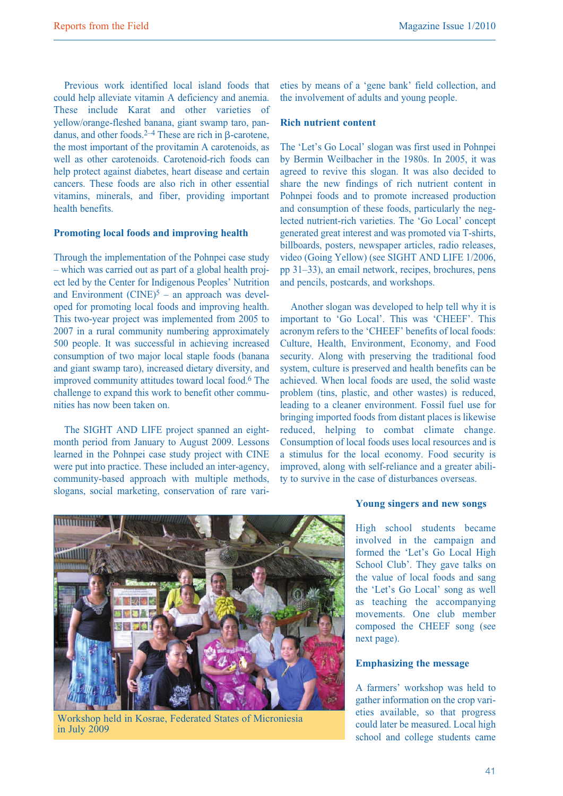Previous work identified local island foods that could help alleviate vitamin A deficiency and anemia. These include Karat and other varieties of yellow/orange-fleshed banana, giant swamp taro, pandanus, and other foods.<sup>2–4</sup> These are rich in  $\beta$ -carotene, the most important of the provitamin A carotenoids, as well as other carotenoids. Carotenoid-rich foods can help protect against diabetes, heart disease and certain cancers. These foods are also rich in other essential vitamins, minerals, and fiber, providing important health benefits.

## **Promoting local foods and improving health**

Through the implementation of the Pohnpei case study – which was carried out as part of a global health project led by the Center for Indigenous Peoples' Nutrition and Environment  $(CINE)^5$  – an approach was developed for promoting local foods and improving health. This two-year project was implemented from 2005 to 2007 in a rural community numbering approximately 500 people. It was successful in achieving increased consumption of two major local staple foods (banana and giant swamp taro), increased dietary diversity, and improved community attitudes toward local food. <sup>6</sup> The challenge to expand this work to benefit other communities has now been taken on.

The SIGHT AND LIFE project spanned an eightmonth period from January to August 2009. Lessons learned in the Pohnpei case study project with CINE were put into practice. These included an inter-agency, community-based approach with multiple methods, slogans, social marketing, conservation of rare varieties by means of a 'gene bank' field collection, and the involvement of adults and young people.

### **Rich nutrient content**

The 'Let's Go Local' slogan was first used in Pohnpei by Bermin Weilbacher in the 1980s. In 2005, it was agreed to revive this slogan. It was also decided to share the new findings of rich nutrient content in Pohnpei foods and to promote increased production and consumption of these foods, particularly the neglected nutrient-rich varieties. The 'Go Local' concept generated great interest and was promoted via T-shirts, billboards, posters, newspaper articles, radio releases, video (Going Yellow) (see SIGHT AND LIFE 1/2006, pp 31–33), an email network, recipes, brochures, pens and pencils, postcards, and workshops.

Another slogan was developed to help tell why it is important to 'Go Local'. This was 'CHEEF'. This acronym refers to the 'CHEEF' benefits of local foods: Culture, Health, Environment, Economy, and Food security. Along with preserving the traditional food system, culture is preserved and health benefits can be achieved. When local foods are used, the solid waste problem (tins, plastic, and other wastes) is reduced, leading to a cleaner environment. Fossil fuel use for bringing imported foods from distant places is likewise reduced, helping to combat climate change. Consumption of local foods uses local resources and is a stimulus for the local economy. Food security is improved, along with self-reliance and a greater ability to survive in the case of disturbances overseas.



Workshop held in Kosrae, Federated States of Microniesia in July 2009

### **Young singers and new songs**

High school students became involved in the campaign and formed the 'Let's Go Local High School Club'. They gave talks on the value of local foods and sang the 'Let's Go Local' song as well as teaching the accompanying movements. One club member composed the CHEEF song (see next page).

#### **Emphasizing the message**

A farmers' workshop was held to gather information on the crop varieties available, so that progress could later be measured. Local high school and college students came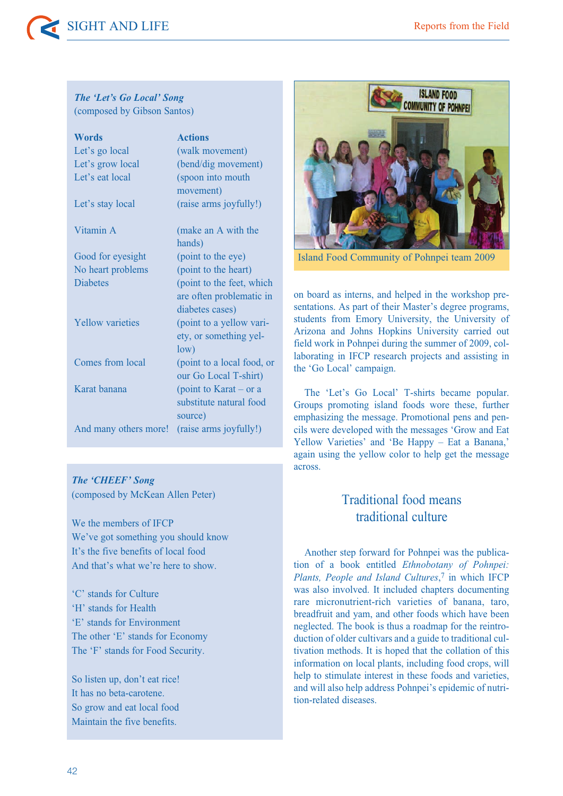SIGHT AND LIFE Reports from the Field

## *The 'Let's Go Local' Song* (composed by Gibson Santos)

| <b>Words</b>            | <b>Actions</b>                                                           |
|-------------------------|--------------------------------------------------------------------------|
| Let's go local          | (walk movement)                                                          |
| Let's grow local        | (bend/dig movement)                                                      |
| Let's eat local         | (spoon into mouth<br>movement)                                           |
| Let's stay local        | (raise arms joyfully!)                                                   |
| Vitamin A               | (make an A with the<br>hands)                                            |
| Good for eyesight       | (point to the eye)                                                       |
| No heart problems       | (point to the heart)                                                     |
| <b>Diabetes</b>         | (point to the feet, which<br>are often problematic in<br>diabetes cases) |
| <b>Yellow</b> varieties | (point to a yellow vari-<br>ety, or something yel-<br>low)               |
| Comes from local        | (point to a local food, or<br>our Go Local T-shirt)                      |
| Karat banana            | (point to Karat – or a<br>substitute natural food<br>source)             |
| And many others more!   | (raise arms joyfully!)                                                   |

# *The 'CHEEF' Song*

(composed by McKean Allen Peter)

We the members of IFCP We've got something you should know It's the five benefits of local food And that's what we're here to show.

'C' stands for Culture 'H' stands for Health 'E' stands for Environment The other 'E' stands for Economy The 'F' stands for Food Security.

So listen up, don't eat rice! It has no beta-carotene. So grow and eat local food Maintain the five benefits.



Island Food Community of Pohnpei team 2009

on board as interns, and helped in the workshop presentations. As part of their Master's degree programs, students from Emory University, the University of Arizona and Johns Hopkins University carried out field work in Pohnpei during the summer of 2009, collaborating in IFCP research projects and assisting in the 'Go Local' campaign.

The 'Let's Go Local' T-shirts became popular. Groups promoting island foods wore these, further emphasizing the message. Promotional pens and pencils were developed with the messages 'Grow and Eat Yellow Varieties' and 'Be Happy – Eat a Banana,' again using the yellow color to help get the message across.

# Traditional food means traditional culture

Another step forward for Pohnpei was the publication of a book entitled *Ethnobotany of Pohnpei: Plants, People and Island Cultures*, <sup>7</sup> in which IFCP was also involved. It included chapters documenting rare micronutrient-rich varieties of banana, taro, breadfruit and yam, and other foods which have been neglected. The book is thus a roadmap for the reintroduction of older cultivars and a guide to traditional cultivation methods. It is hoped that the collation of this information on local plants, including food crops, will help to stimulate interest in these foods and varieties, and will also help address Pohnpei's epidemic of nutrition-related diseases.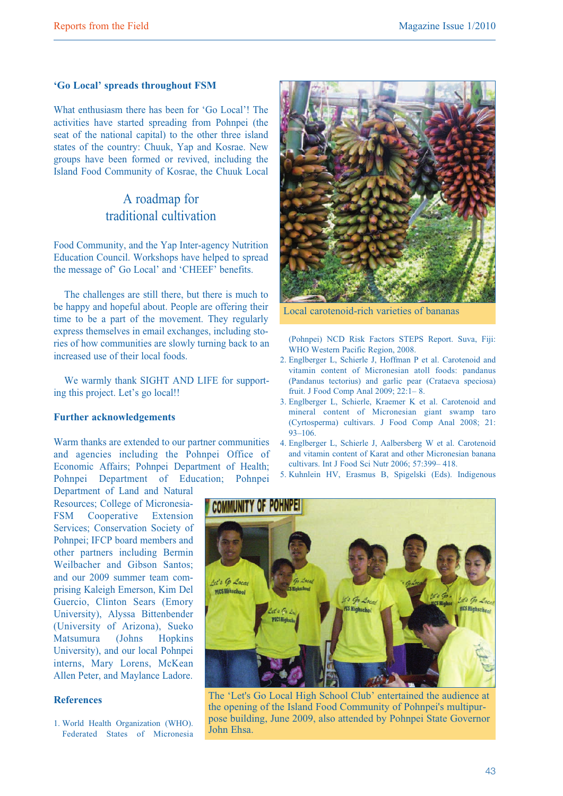# **'Go Local' spreads throughout FSM**

What enthusiasm there has been for 'Go Local'! The activities have started spreading from Pohnpei (the seat of the national capital) to the other three island states of the country: Chuuk, Yap and Kosrae. New groups have been formed or revived, including the Island Food Community of Kosrae, the Chuuk Local

# A roadmap for traditional cultivation

Food Community, and the Yap Inter-agency Nutrition Education Council. Workshops have helped to spread the message of' Go Local' and 'CHEEF' benefits.

The challenges are still there, but there is much to be happy and hopeful about. People are offering their time to be a part of the movement. They regularly express themselves in email exchanges, including stories of how communities are slowly turning back to an increased use of their local foods.

We warmly thank SIGHT AND LIFE for supporting this project. Let's go local!!

#### **Further acknowledgements**

Warm thanks are extended to our partner communities and agencies including the Pohnpei Office of Economic Affairs; Pohnpei Department of Health; Pohnpei Department of Education; Pohnpei

Department of Land and Natural Resources; College of Micronesia-FSM Cooperative Extension Services; Conservation Society of Pohnpei; IFCP board members and other partners including Bermin Weilbacher and Gibson Santos; and our 2009 summer team comprising Kaleigh Emerson, Kim Del Guercio, Clinton Sears (Emory University), Alyssa Bittenbender (University of Arizona), Sueko Matsumura (Johns Hopkins University), and our local Pohnpei interns, Mary Lorens, McKean Allen Peter, and Maylance Ladore.

### **References**

1. World Health Organization (WHO). Federated States of Micronesia



Local carotenoid-rich varieties of bananas

(Pohnpei) NCD Risk Factors STEPS Report. Suva, Fiji: WHO Western Pacific Region, 2008.

- 2. Englberger L, Schierle J, Hoffman P et al. Carotenoid and vitamin content of Micronesian atoll foods: pandanus (Pandanus tectorius) and garlic pear (Crataeva speciosa) fruit. J Food Comp Anal 2009; 22:1– 8.
- 3. Englberger L, Schierle, Kraemer K et al. Carotenoid and mineral content of Micronesian giant swamp taro (Cyrtosperma) cultivars. J Food Comp Anal 2008; 21: 93–106.
- 4. Englberger L, Schierle J, Aalbersberg W et al. Carotenoid and vitamin content of Karat and other Micronesian banana cultivars. Int J Food Sci Nutr 2006; 57:399– 418.
- 5. Kuhnlein HV, Erasmus B, Spigelski (Eds). Indigenous



The 'Let's Go Local High School Club' entertained the audience at the opening of the Island Food Community of Pohnpei's multipurpose building, June 2009, also attended by Pohnpei State Governor John Ehsa.